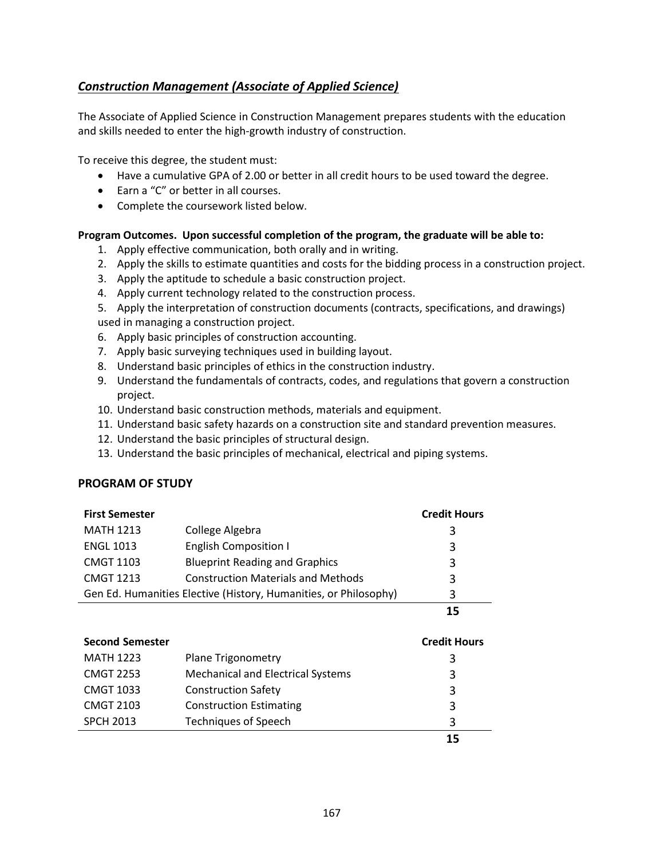## <span id="page-0-0"></span>*[Construction Management \(Associate of Applied Science\)](#page-0-0)*

The Associate of Applied Science in Construction Management prepares students with the education and skills needed to enter the high-growth industry of construction.

To receive this degree, the student must:

- Have a cumulative GPA of 2.00 or better in all credit hours to be used toward the degree.
- Earn a "C" or better in all courses.
- Complete the coursework listed below.

## **Program Outcomes. Upon successful completion of the program, the graduate will be able to:**

- 1. Apply effective communication, both orally and in writing.
- 2. Apply the skills to estimate quantities and costs for the bidding process in a construction project.
- 3. Apply the aptitude to schedule a basic construction project.
- 4. Apply current technology related to the construction process.
- 5. Apply the interpretation of construction documents (contracts, specifications, and drawings) used in managing a construction project.
- 6. Apply basic principles of construction accounting.
- 7. Apply basic surveying techniques used in building layout.
- 8. Understand basic principles of ethics in the construction industry.
- 9. Understand the fundamentals of contracts, codes, and regulations that govern a construction project.
- 10. Understand basic construction methods, materials and equipment.
- 11. Understand basic safety hazards on a construction site and standard prevention measures.
- 12. Understand the basic principles of structural design.
- 13. Understand the basic principles of mechanical, electrical and piping systems.

## **PROGRAM OF STUDY**

| <b>First Semester</b>                                            |                                           | <b>Credit Hours</b> |
|------------------------------------------------------------------|-------------------------------------------|---------------------|
| <b>MATH 1213</b>                                                 | College Algebra                           | 3                   |
| <b>ENGL 1013</b>                                                 | <b>English Composition I</b>              | 3                   |
| <b>CMGT 1103</b>                                                 | <b>Blueprint Reading and Graphics</b>     | 3                   |
| <b>CMGT 1213</b>                                                 | <b>Construction Materials and Methods</b> | 3                   |
| Gen Ed. Humanities Elective (History, Humanities, or Philosophy) |                                           | 3                   |
|                                                                  |                                           |                     |

| <b>Second Semester</b> |                                          | <b>Credit Hours</b> |
|------------------------|------------------------------------------|---------------------|
| <b>MATH 1223</b>       | <b>Plane Trigonometry</b>                | 3                   |
| <b>CMGT 2253</b>       | <b>Mechanical and Electrical Systems</b> | 3                   |
| <b>CMGT 1033</b>       | <b>Construction Safety</b>               | 3                   |
| <b>CMGT 2103</b>       | <b>Construction Estimating</b>           | 3                   |
| <b>SPCH 2013</b>       | <b>Techniques of Speech</b>              | 3                   |
|                        |                                          | 15                  |